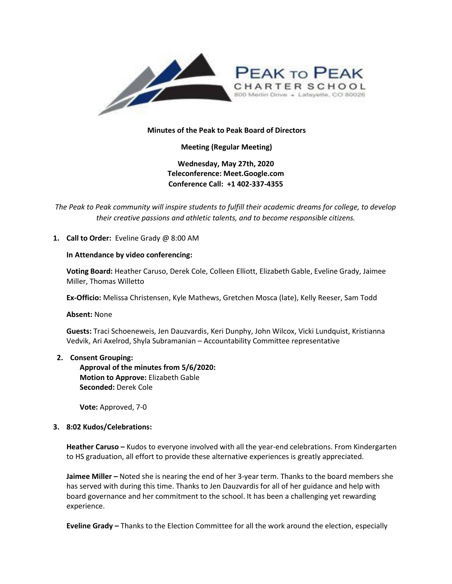

# **Minutes of the Peak to Peak Board of Directors**

**Meeting (Regular Meeting)**

**Wednesday, May 27th, 2020 Teleconference: Meet.Google.com Conference Call: +1 402-337-4355** 

*The Peak to Peak community will inspire students to fulfill their academic dreams for college, to develop their creative passions and athletic talents, and to become responsible citizens.*

# **1. Call to Order:** Eveline Grady @ 8:00 AM

### **In Attendance by video conferencing:**

**Voting Board:** Heather Caruso, Derek Cole, Colleen Elliott, Elizabeth Gable, Eveline Grady, Jaimee Miller, Thomas Willetto

**Ex-Officio:** Melissa Christensen, Kyle Mathews, Gretchen Mosca (late), Kelly Reeser, Sam Todd

**Absent:** None

**Guests:** Traci Schoeneweis, Jen Dauzvardis, Keri Dunphy, John Wilcox, Vicki Lundquist, Kristianna Vedvik, Ari Axelrod, Shyla Subramanian – Accountability Committee representative

### **2. Consent Grouping:**

**Approval of the minutes from 5/6/2020: Motion to Approve:** Elizabeth Gable **Seconded:** Derek Cole

**Vote:** Approved, 7-0

### **3. 8:02 Kudos/Celebrations:**

**Heather Caruso –** Kudos to everyone involved with all the year-end celebrations. From Kindergarten to HS graduation, all effort to provide these alternative experiences is greatly appreciated.

**Jaimee Miller –** Noted she is nearing the end of her 3-year term. Thanks to the board members she has served with during this time. Thanks to Jen Dauzvardis for all of her guidance and help with board governance and her commitment to the school. It has been a challenging yet rewarding experience.

**Eveline Grady –** Thanks to the Election Committee for all the work around the election, especially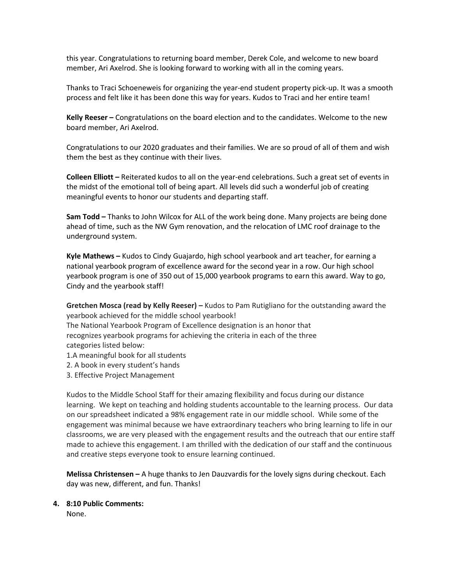this year. Congratulations to returning board member, Derek Cole, and welcome to new board member, Ari Axelrod. She is looking forward to working with all in the coming years.

Thanks to Traci Schoeneweis for organizing the year-end student property pick-up. It was a smooth process and felt like it has been done this way for years. Kudos to Traci and her entire team!

**Kelly Reeser –** Congratulations on the board election and to the candidates. Welcome to the new board member, Ari Axelrod.

Congratulations to our 2020 graduates and their families. We are so proud of all of them and wish them the best as they continue with their lives.

**Colleen Elliott –** Reiterated kudos to all on the year-end celebrations. Such a great set of events in the midst of the emotional toll of being apart. All levels did such a wonderful job of creating meaningful events to honor our students and departing staff.

**Sam Todd –** Thanks to John Wilcox for ALL of the work being done. Many projects are being done ahead of time, such as the NW Gym renovation, and the relocation of LMC roof drainage to the underground system.

**Kyle Mathews –** Kudos to Cindy Guajardo, high school yearbook and art teacher, for earning a national yearbook program of excellence award for the second year in a row. Our high school yearbook program is one of 350 out of 15,000 yearbook programs to earn this award. Way to go, Cindy and the yearbook staff!

**Gretchen Mosca (read by Kelly Reeser) –** Kudos to Pam Rutigliano for the outstanding award the yearbook achieved for the middle school yearbook!

The National Yearbook Program of Excellence designation is an honor that recognizes yearbook programs for achieving the criteria in each of the three categories listed below:

- 1.A meaningful book for all students
- 2. A book in every student's hands
- 3. Effective Project Management

Kudos to the Middle School Staff for their amazing flexibility and focus during our distance learning. We kept on teaching and holding students accountable to the learning process. Our data on our spreadsheet indicated a 98% engagement rate in our middle school. While some of the engagement was minimal because we have extraordinary teachers who bring learning to life in our classrooms, we are very pleased with the engagement results and the outreach that our entire staff made to achieve this engagement. I am thrilled with the dedication of our staff and the continuous and creative steps everyone took to ensure learning continued.

**Melissa Christensen –** A huge thanks to Jen Dauzvardis for the lovely signs during checkout. Each day was new, different, and fun. Thanks!

# **4. 8:10 Public Comments:**

None.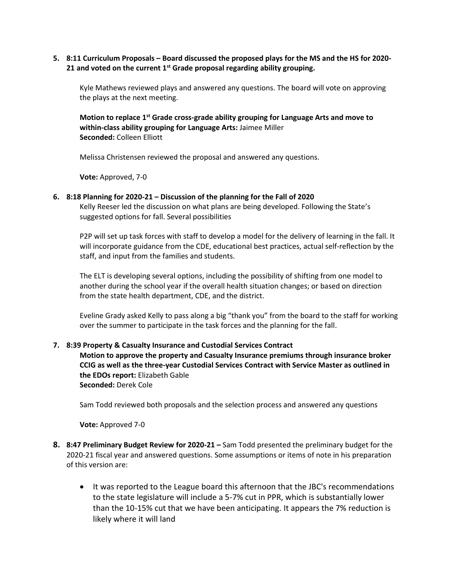# **5. 8:11 Curriculum Proposals – Board discussed the proposed plays for the MS and the HS for 2020- 21 and voted on the current 1st Grade proposal regarding ability grouping.**

Kyle Mathews reviewed plays and answered any questions. The board will vote on approving the plays at the next meeting.

Motion to replace 1<sup>st</sup> Grade cross-grade ability grouping for Language Arts and move to **within-class ability grouping for Language Arts:** Jaimee Miller **Seconded:** Colleen Elliott

Melissa Christensen reviewed the proposal and answered any questions.

**Vote:** Approved, 7-0

### **6. 8:18 Planning for 2020-21 – Discussion of the planning for the Fall of 2020**

Kelly Reeser led the discussion on what plans are being developed. Following the State's suggested options for fall. Several possibilities

P2P will set up task forces with staff to develop a model for the delivery of learning in the fall. It will incorporate guidance from the CDE, educational best practices, actual self-reflection by the staff, and input from the families and students.

The ELT is developing several options, including the possibility of shifting from one model to another during the school year if the overall health situation changes; or based on direction from the state health department, CDE, and the district.

Eveline Grady asked Kelly to pass along a big "thank you" from the board to the staff for working over the summer to participate in the task forces and the planning for the fall.

## **7. 8:39 Property & Casualty Insurance and Custodial Services Contract**

**Motion to approve the property and Casualty Insurance premiums through insurance broker CCIG as well as the three-year Custodial Services Contract with Service Master as outlined in the EDOs report:** Elizabeth Gable **Seconded:** Derek Cole

Sam Todd reviewed both proposals and the selection process and answered any questions

**Vote:** Approved 7-0

- **8. 8:47 Preliminary Budget Review for 2020-21 –** Sam Todd presented the preliminary budget for the 2020-21 fiscal year and answered questions. Some assumptions or items of note in his preparation of this version are:
	- It was reported to the League board this afternoon that the JBC's recommendations to the state legislature will include a 5-7% cut in PPR, which is substantially lower than the 10-15% cut that we have been anticipating. It appears the 7% reduction is likely where it will land